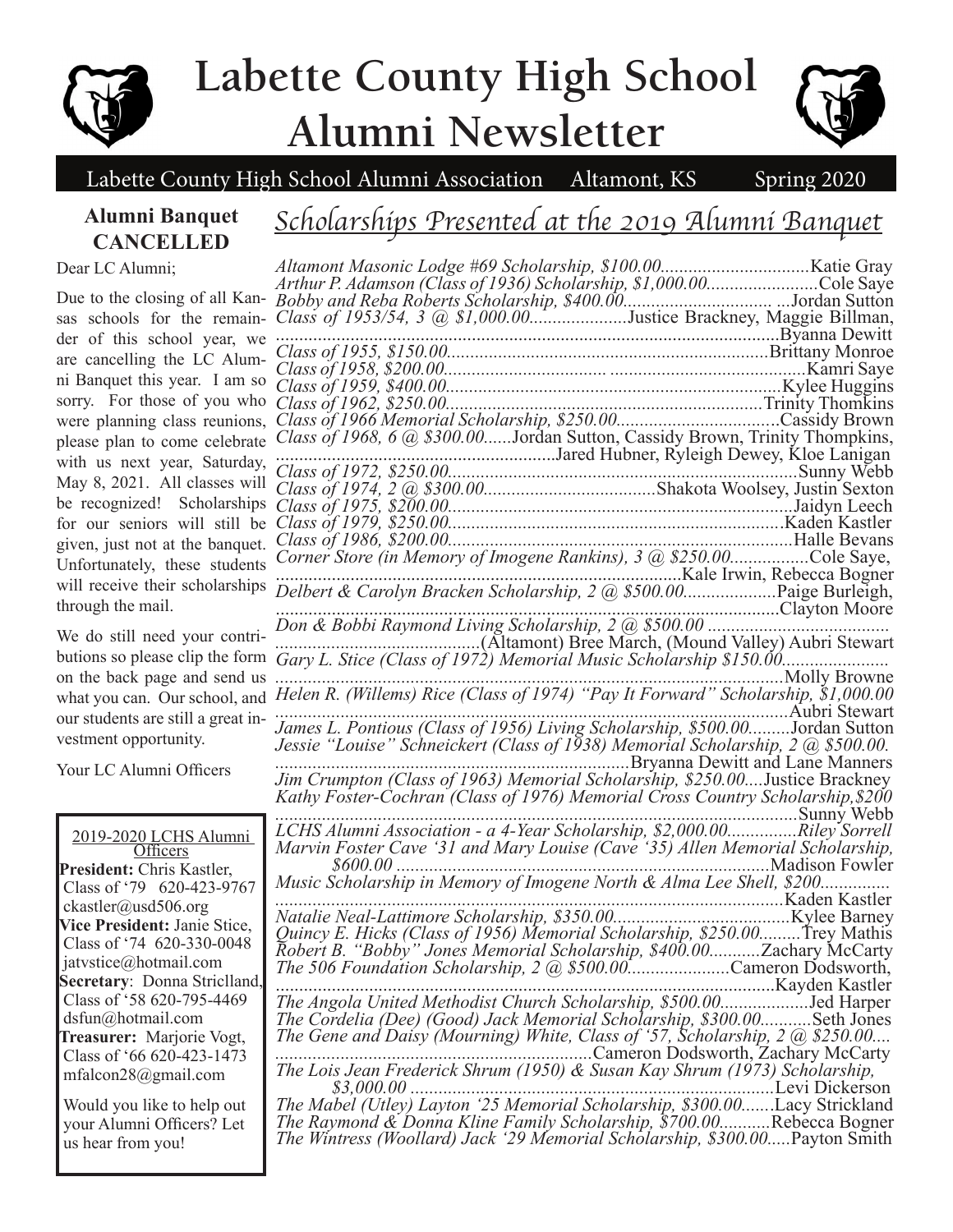

# **Labette County High School Alumni Newsletter**



Labette County High School Alumni Association Altamont, KS Spring 2020

### **Alumni Banquet CANCELLED**

### *Scholarships Presented at the 2019 Alumni Banquet*

Dear LC Alumni;

Due to the closing of all Kansas schools for the remainder of this school year, we are cancelling the LC Alumni Banquet this year. I am so sorry. For those of you who were planning class reunions, please plan to come celebrate with us next year, Saturday, May 8, 2021. All classes will be recognized! Scholarships for our seniors will still be given, just not at the banquet. Unfortunately, these students will receive their scholarships through the mail.

We do still need your contributions so please clip the form on the back page and send us what you can. Our school, and our students are still a great investment opportunity.

Your LC Alumni Officers

2019-2020 LCHS Alumni **Officers President:** Chris Kastler, Class of '79 620-423-9767 ckastler@usd506.org **Vice President:** Janie Stice, Class of '74 620-330-0048 jatvstice@hotmail.com **Secretary**: Donna Striclland, Class of '58 620-795-4469 dsfun@hotmail.com **Treasurer:** Marjorie Vogt, Class of '66 620-423-1473 mfalcon28@gmail.com

 Would you like to help out your Alumni Officers? Let us hear from you!

| Arthur P. Adamson (Class of 1936) Scholarship, \$1,000.00Cole Saye                                                                                                                                                                |
|-----------------------------------------------------------------------------------------------------------------------------------------------------------------------------------------------------------------------------------|
|                                                                                                                                                                                                                                   |
|                                                                                                                                                                                                                                   |
|                                                                                                                                                                                                                                   |
|                                                                                                                                                                                                                                   |
|                                                                                                                                                                                                                                   |
|                                                                                                                                                                                                                                   |
|                                                                                                                                                                                                                                   |
|                                                                                                                                                                                                                                   |
| Class of 1968, 6 @ \$300.00Jordan Sutton, Cassidy Brown, Trinity Thompkins,                                                                                                                                                       |
|                                                                                                                                                                                                                                   |
|                                                                                                                                                                                                                                   |
|                                                                                                                                                                                                                                   |
|                                                                                                                                                                                                                                   |
|                                                                                                                                                                                                                                   |
| Class of 1986, \$200.00.                                                                                                                                                                                                          |
| Corner Store (in Memory of Imogene Rankins), 3 @ \$250.00Cole Saye,                                                                                                                                                               |
|                                                                                                                                                                                                                                   |
|                                                                                                                                                                                                                                   |
| Clayton Moore                                                                                                                                                                                                                     |
|                                                                                                                                                                                                                                   |
|                                                                                                                                                                                                                                   |
|                                                                                                                                                                                                                                   |
| Molly Browne                                                                                                                                                                                                                      |
| Helen R. (Willems) Rice (Class of 1974) "Pay It Forward" Scholarship, \$1,000.00                                                                                                                                                  |
|                                                                                                                                                                                                                                   |
| James L. Pontious (Class of 1956) Living Scholarship, \$500.00Jordan Sutton<br>Jessie "Louise" Schneickert (Class of 1938) Memorial Scholarship, 2 @ \$500.00.                                                                    |
|                                                                                                                                                                                                                                   |
| Bryanna Dewitt and Lane Manners                                                                                                                                                                                                   |
| Jim Crumpton (Class of 1963) Memorial Scholarship, \$250.00Justice Brackney                                                                                                                                                       |
| Kathy Foster-Cochran (Class of 1976) Memorial Cross Country Scholarship, \$200                                                                                                                                                    |
| Sunny Webb                                                                                                                                                                                                                        |
| LCHS Alumni Association - a 4-Year Scholarship, \$2,000.00Riley Sorrell                                                                                                                                                           |
| Marvin Foster Cave '31 and Mary Louise (Cave '35) Allen Memorial Scholarship,                                                                                                                                                     |
| Madison Fowler<br>$$600.00$                                                                                                                                                                                                       |
| Music Scholarship in Memory of Imogene North & Alma Lee Shell, \$200                                                                                                                                                              |
|                                                                                                                                                                                                                                   |
|                                                                                                                                                                                                                                   |
| Quincy E. Hicks (Class of 1956) Memorial Scholarship, \$250.00Trey Mathis                                                                                                                                                         |
|                                                                                                                                                                                                                                   |
| Robert B. "Bobby" Jones Memorial Scholarship, \$400.00Zachary McCarty<br>The 506 Foundation Scholarship, 2 @ \$500.00Cameron Dodsworth,                                                                                           |
|                                                                                                                                                                                                                                   |
|                                                                                                                                                                                                                                   |
| The Cordelia (Dee) (Good) Jack Memorial Scholarship, \$300.00Seth Jones                                                                                                                                                           |
| The Gene and Daisy (Mourning) White, Class of '57, Scholarship, 2 @ \$250.00                                                                                                                                                      |
| Cameron Dodsworth, Zachary McCarty                                                                                                                                                                                                |
| The Lois Jean Frederick Shrum (1950) & Susan Kay Shrum (1973) Scholarship,                                                                                                                                                        |
|                                                                                                                                                                                                                                   |
| \$3,000.00 [16] Levi Dickerson Epison Mabel (Utley) Layton (25 Memorial Scholarship, \$300.00 [16] [2016] The Mabel (Utley) Layton (25 Memorial Scholarship, \$300.00 [16] [2016] The Mabel (Utley) Layton (25 Memorial Scholarsh |
| <i>The Raymond &amp; Donna Kline Family Scholarship, \$700.00Rebecca Bogner</i>                                                                                                                                                   |
| The Wintress (Woollard) Jack '29 Memorial Scholarship, \$300.00Payton Smith                                                                                                                                                       |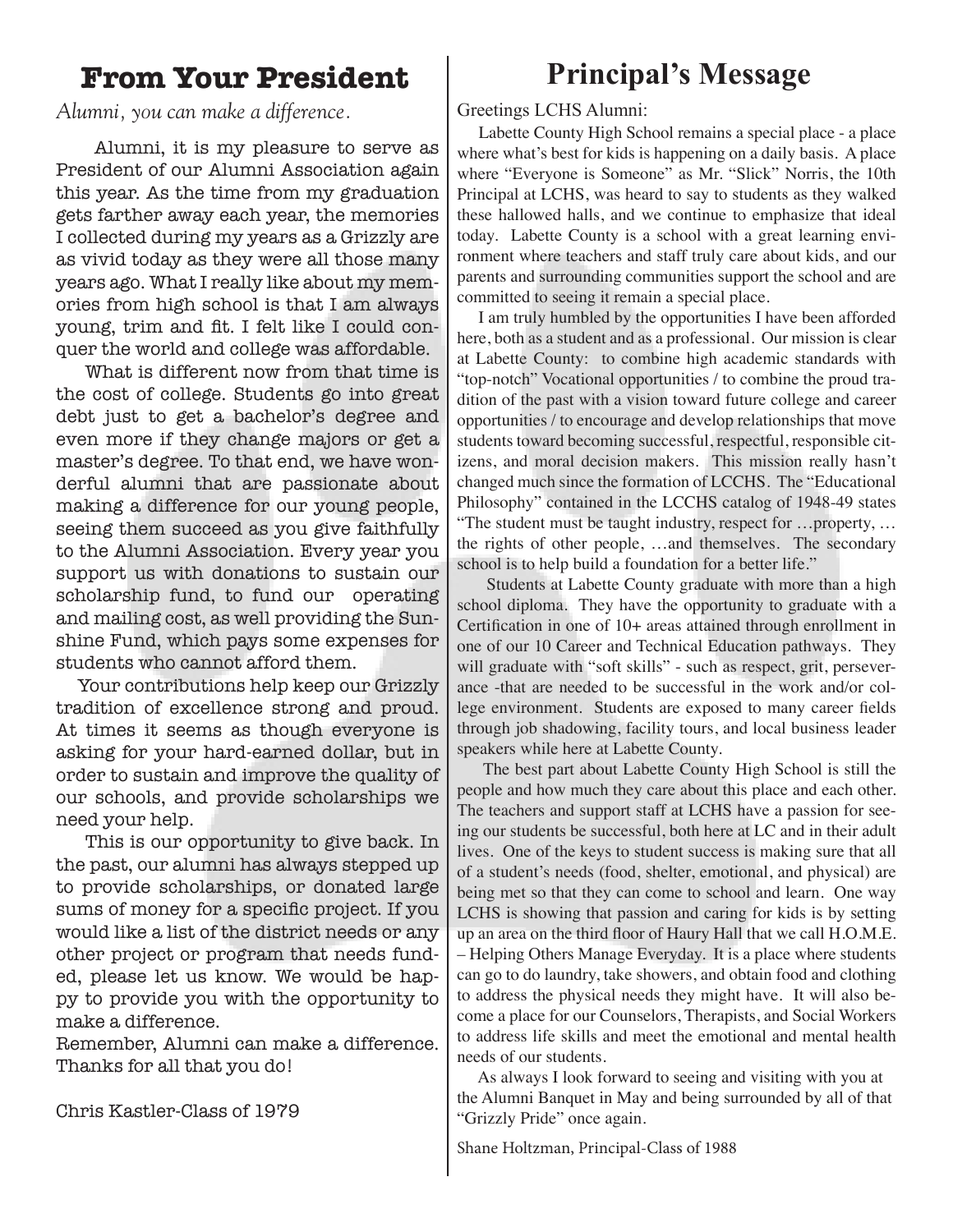### **From Your President**

### *Alumni, you can make a difference.*

 Alumni, it is my pleasure to serve as President of our Alumni Association again this year. As the time from my graduation gets farther away each year, the memories I collected during my years as a Grizzly are as vivid today as they were all those many years ago. What I really like about my memories from high school is that I am always young, trim and fit. I felt like I could conquer the world and college was affordable.

 What is different now from that time is the cost of college. Students go into great debt just to get a bachelor's degree and even more if they change majors or get a master's degree. To that end, we have wonderful alumni that are passionate about making a difference for our young people, seeing them succeed as you give faithfully to the Alumni Association. Every year you support us with donations to sustain our scholarship fund, to fund our operating and mailing cost, as well providing the Sunshine Fund, which pays some expenses for students who cannot afford them.

 Your contributions help keep our Grizzly tradition of excellence strong and proud. At times it seems as though everyone is asking for your hard-earned dollar, but in order to sustain and improve the quality of our schools, and provide scholarships we need your help.

 This is our opportunity to give back. In the past, our alumni has always stepped up to provide scholarships, or donated large sums of money for a specific project. If you would like a list of the district needs or any other project or program that needs funded, please let us know. We would be happy to provide you with the opportunity to make a difference.

Remember, Alumni can make a difference. Thanks for all that you do!

Chris Kastler-Class of 1979

### **Principal's Message**

#### Greetings LCHS Alumni:

 Labette County High School remains a special place - a place where what's best for kids is happening on a daily basis. A place where "Everyone is Someone" as Mr. "Slick" Norris, the 10th Principal at LCHS, was heard to say to students as they walked these hallowed halls, and we continue to emphasize that ideal today. Labette County is a school with a great learning environment where teachers and staff truly care about kids, and our parents and surrounding communities support the school and are committed to seeing it remain a special place.

 I am truly humbled by the opportunities I have been afforded here, both as a student and as a professional. Our mission is clear at Labette County: to combine high academic standards with "top-notch" Vocational opportunities / to combine the proud tradition of the past with a vision toward future college and career opportunities / to encourage and develop relationships that move students toward becoming successful, respectful, responsible citizens, and moral decision makers. This mission really hasn't changed much since the formation of LCCHS. The "Educational Philosophy" contained in the LCCHS catalog of 1948-49 states "The student must be taught industry, respect for …property, … the rights of other people, …and themselves. The secondary school is to help build a foundation for a better life."

 Students at Labette County graduate with more than a high school diploma. They have the opportunity to graduate with a Certification in one of 10+ areas attained through enrollment in one of our 10 Career and Technical Education pathways. They will graduate with "soft skills" - such as respect, grit, perseverance -that are needed to be successful in the work and/or college environment. Students are exposed to many career fields through job shadowing, facility tours, and local business leader speakers while here at Labette County.

 The best part about Labette County High School is still the people and how much they care about this place and each other. The teachers and support staff at LCHS have a passion for seeing our students be successful, both here at LC and in their adult lives. One of the keys to student success is making sure that all of a student's needs (food, shelter, emotional, and physical) are being met so that they can come to school and learn. One way LCHS is showing that passion and caring for kids is by setting up an area on the third floor of Haury Hall that we call H.O.M.E. – Helping Others Manage Everyday. It is a place where students can go to do laundry, take showers, and obtain food and clothing to address the physical needs they might have. It will also become a place for our Counselors, Therapists, and Social Workers to address life skills and meet the emotional and mental health needs of our students.

 As always I look forward to seeing and visiting with you at the Alumni Banquet in May and being surrounded by all of that "Grizzly Pride" once again.

Shane Holtzman, Principal-Class of 1988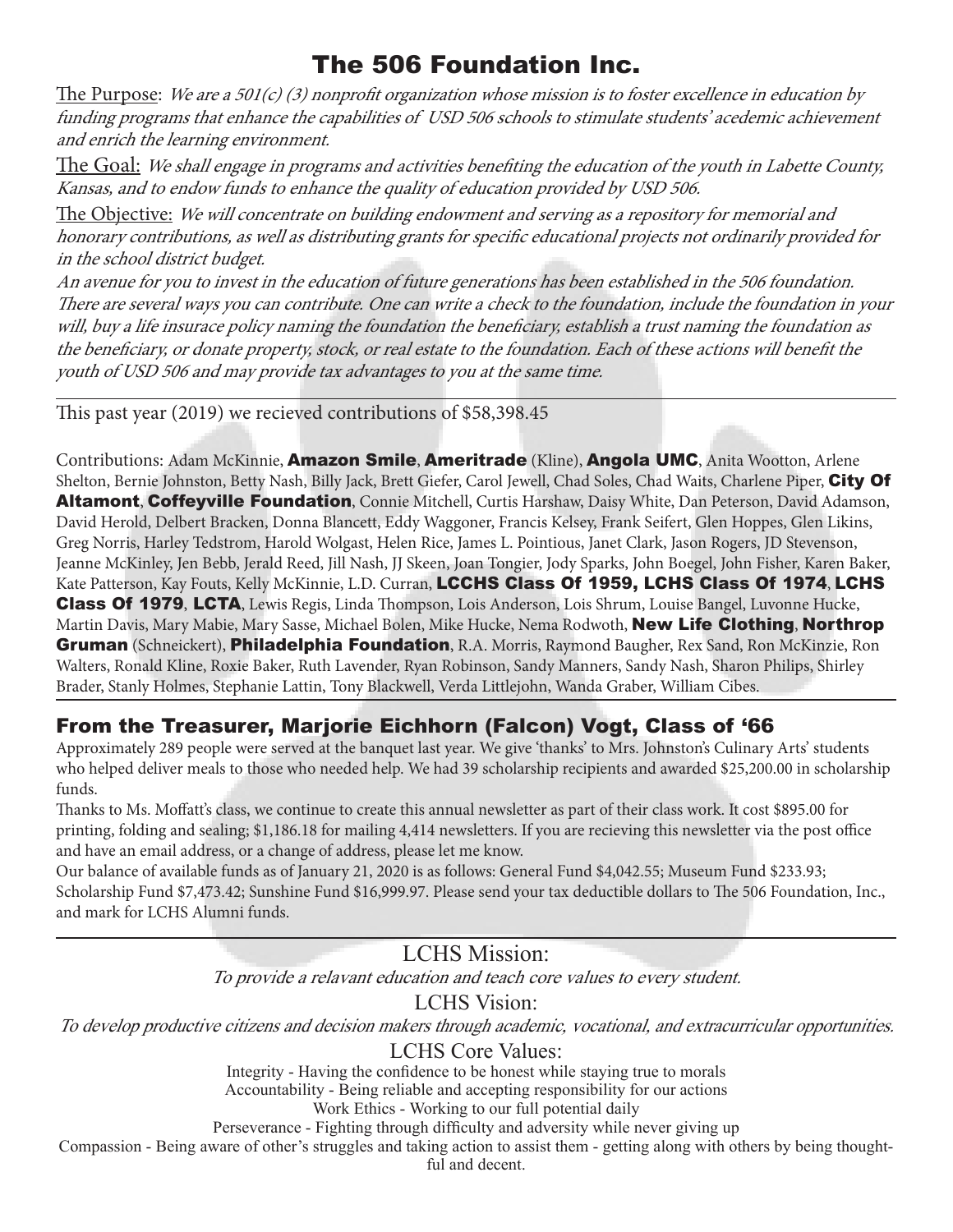### The 506 Foundation Inc.

The Purpose: We are a 501(c) (3) nonprofit organization whose mission is to foster excellence in education by funding programs that enhance the capabilities of USD 506 schools to stimulate students' acedemic achievement and enrich the learning environment.

The Goal: We shall engage in programs and activities benefiting the education of the youth in Labette County, Kansas, and to endow funds to enhance the quality of education provided by USD 506.

The Objective: We will concentrate on building endowment and serving as a repository for memorial and honorary contributions, as well as distributing grants for specific educational projects not ordinarily provided for in the school district budget.

An avenue for you to invest in the education of future generations has been established in the 506 foundation. There are several ways you can contribute. One can write a check to the foundation, include the foundation in your will, buy a life insurace policy naming the foundation the beneficiary, establish a trust naming the foundation as the beneficiary, or donate property, stock, or real estate to the foundation. Each of these actions will benefit the youth of USD 506 and may provide tax advantages to you at the same time.

This past year (2019) we recieved contributions of \$58,398.45

Contributions: Adam McKinnie, Amazon Smile, Ameritrade (Kline), Angola UMC, Anita Wootton, Arlene Shelton, Bernie Johnston, Betty Nash, Billy Jack, Brett Giefer, Carol Jewell, Chad Soles, Chad Waits, Charlene Piper, City Of Altamont, Coffeyville Foundation, Connie Mitchell, Curtis Harshaw, Daisy White, Dan Peterson, David Adamson, David Herold, Delbert Bracken, Donna Blancett, Eddy Waggoner, Francis Kelsey, Frank Seifert, Glen Hoppes, Glen Likins, Greg Norris, Harley Tedstrom, Harold Wolgast, Helen Rice, James L. Pointious, Janet Clark, Jason Rogers, JD Stevenson, Jeanne McKinley, Jen Bebb, Jerald Reed, Jill Nash, JJ Skeen, Joan Tongier, Jody Sparks, John Boegel, John Fisher, Karen Baker, Kate Patterson, Kay Fouts, Kelly McKinnie, L.D. Curran, LCCHS Class Of 1959, LCHS Class Of 1974, LCHS Class Of 1979, LCTA, Lewis Regis, Linda Thompson, Lois Anderson, Lois Shrum, Louise Bangel, Luvonne Hucke, Martin Davis, Mary Mabie, Mary Sasse, Michael Bolen, Mike Hucke, Nema Rodwoth, New Life Clothing, Northrop Gruman (Schneickert), Philadelphia Foundation, R.A. Morris, Raymond Baugher, Rex Sand, Ron McKinzie, Ron Walters, Ronald Kline, Roxie Baker, Ruth Lavender, Ryan Robinson, Sandy Manners, Sandy Nash, Sharon Philips, Shirley Brader, Stanly Holmes, Stephanie Lattin, Tony Blackwell, Verda Littlejohn, Wanda Graber, William Cibes.

### From the Treasurer, Marjorie Eichhorn (Falcon) Vogt, Class of '66

Approximately 289 people were served at the banquet last year. We give 'thanks' to Mrs. Johnston's Culinary Arts' students who helped deliver meals to those who needed help. We had 39 scholarship recipients and awarded \$25,200.00 in scholarship funds.

Thanks to Ms. Moffatt's class, we continue to create this annual newsletter as part of their class work. It cost \$895.00 for printing, folding and sealing; \$1,186.18 for mailing 4,414 newsletters. If you are recieving this newsletter via the post office and have an email address, or a change of address, please let me know.

Our balance of available funds as of January 21, 2020 is as follows: General Fund \$4,042.55; Museum Fund \$233.93; Scholarship Fund \$7,473.42; Sunshine Fund \$16,999.97. Please send your tax deductible dollars to The 506 Foundation, Inc., and mark for LCHS Alumni funds.

LCHS Mission:

To provide a relavant education and teach core values to every student.

LCHS Vision:

To develop productive citizens and decision makers through academic, vocational, and extracurricular opportunities.

#### LCHS Core Values:

Integrity - Having the confidence to be honest while staying true to morals Accountability - Being reliable and accepting responsibility for our actions

Work Ethics - Working to our full potential daily

Perseverance - Fighting through difficulty and adversity while never giving up

Compassion - Being aware of other's struggles and taking action to assist them - getting along with others by being thought-

ful and decent.